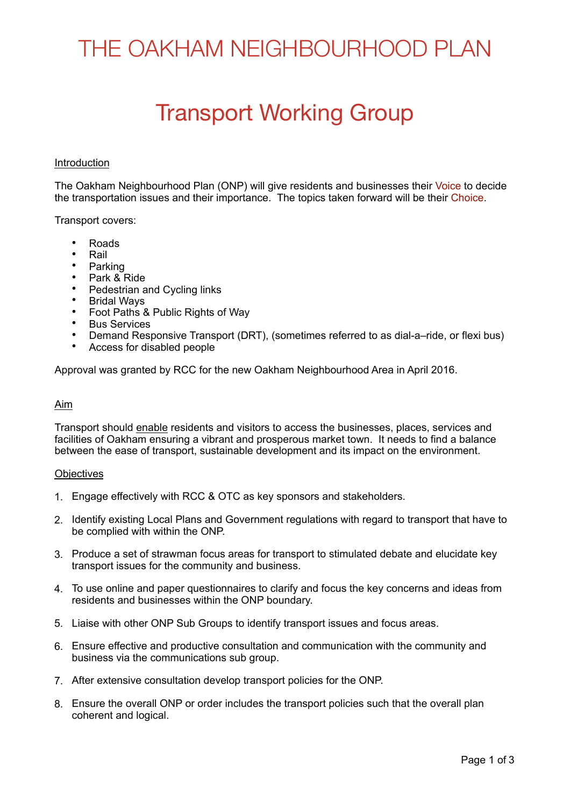# THE OAKHAM NEIGHBOURHOOD PLAN

### Transport Working Group

#### Introduction

The Oakham Neighbourhood Plan (ONP) will give residents and businesses their Voice to decide the transportation issues and their importance. The topics taken forward will be their Choice.

Transport covers:

- Roads
- Rail
- Parking
- Park & Ride
- Pedestrian and Cycling links
- **Bridal Ways**
- Foot Paths & Public Rights of Way
- **Bus Services**
- Demand Responsive Transport (DRT), (sometimes referred to as dial-a–ride, or flexi bus)
- Access for disabled people

Approval was granted by RCC for the new Oakham Neighbourhood Area in April 2016.

#### Aim

Transport should enable residents and visitors to access the businesses, places, services and facilities of Oakham ensuring a vibrant and prosperous market town. It needs to find a balance between the ease of transport, sustainable development and its impact on the environment.

#### **Objectives**

- 1. Engage effectively with RCC & OTC as key sponsors and stakeholders.
- 2. Identify existing Local Plans and Government regulations with regard to transport that have to be complied with within the ONP.
- 3. Produce a set of strawman focus areas for transport to stimulated debate and elucidate key transport issues for the community and business.
- 4. To use online and paper questionnaires to clarify and focus the key concerns and ideas from residents and businesses within the ONP boundary.
- 5. Liaise with other ONP Sub Groups to identify transport issues and focus areas.
- 6. Ensure effective and productive consultation and communication with the community and business via the communications sub group.
- 7. After extensive consultation develop transport policies for the ONP.
- 8. Ensure the overall ONP or order includes the transport policies such that the overall plan coherent and logical.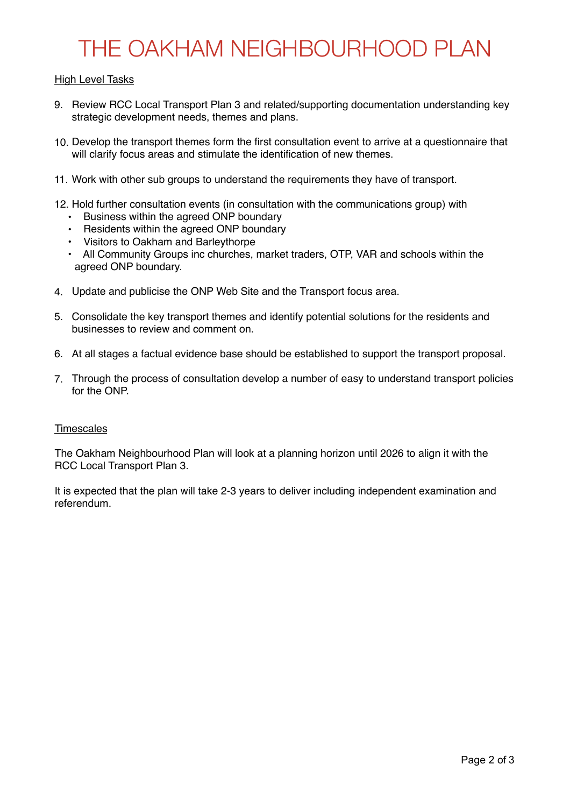# THE OAKHAM NEIGHBOURHOOD PLAN

### High Level Tasks

- 9. Review RCC Local Transport Plan 3 and related/supporting documentation understanding key strategic development needs, themes and plans.
- 10. Develop the transport themes form the first consultation event to arrive at a questionnaire that will clarify focus areas and stimulate the identification of new themes.
- 11. Work with other sub groups to understand the requirements they have of transport.
- 12. Hold further consultation events (in consultation with the communications group) with
	- Business within the agreed ONP boundary
	- Residents within the agreed ONP boundary
	- Visitors to Oakham and Barleythorpe
	- All Community Groups inc churches, market traders, OTP, VAR and schools within the agreed ONP boundary.
- 4. Update and publicise the ONP Web Site and the Transport focus area.
- 5. Consolidate the key transport themes and identify potential solutions for the residents and businesses to review and comment on.
- 6. At all stages a factual evidence base should be established to support the transport proposal.
- 7. Through the process of consultation develop a number of easy to understand transport policies for the ONP.

### **Timescales**

The Oakham Neighbourhood Plan will look at a planning horizon until 2026 to align it with the RCC Local Transport Plan 3.

It is expected that the plan will take 2-3 years to deliver including independent examination and referendum.